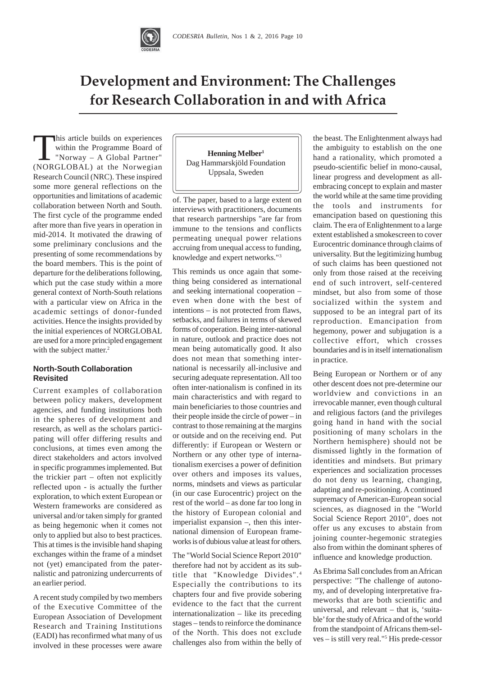

# **Development and Environment: The Challenges** for Research Collaboration in and with Africa

This article builds on experiences within the Programme Board of "Norway – A Global Partner" (NORGLOBAL) at the Norwegian Research Council (NRC). These inspired some more general reflections on the opportunities and limitations of academic collaboration between North and South. The first cycle of the programme ended after more than five years in operation in mid-2014. It motivated the drawing of some preliminary conclusions and the presenting of some recommendations by the board members. This is the point of departure for the deliberations following, which put the case study within a more general context of North-South relations with a particular view on Africa in the academic settings of donor-funded activities. Hence the insights provided by the initial experiences of NORGLOBAL are used for a more principled engagement with the subject matter.<sup>2</sup>

# **North-South Collaboration Revisited**

Current examples of collaboration between policy makers, development agencies, and funding institutions both in the spheres of development and research, as well as the scholars participating will offer differing results and conclusions, at times even among the direct stakeholders and actors involved in specific programmes implemented. But the trickier part – often not explicitly reflected upon - is actually the further exploration, to which extent European or Western frameworks are considered as universal and/or taken simply for granted as being hegemonic when it comes not only to applied but also to best practices. This at times is the invisible hand shaping exchanges within the frame of a mindset not (yet) emancipated from the paternalistic and patronizing undercurrents of an earlier period.

A recent study compiled by two members of the Executive Committee of the European Association of Development Research and Training Institutions (EADI) has reconfirmed what many of us involved in these processes were aware

**Henning Melber1** Dag Hammarskjöld Foundation Uppsala, Sweden

of. The paper, based to a large extent on interviews with practitioners, documents that research partnerships "are far from immune to the tensions and conflicts permeating unequal power relations accruing from unequal access to funding, knowledge and expert networks."3

This reminds us once again that something being considered as international and seeking international cooperation – even when done with the best of intentions – is not protected from flaws, setbacks, and failures in terms of skewed forms of cooperation. Being inter-national in nature, outlook and practice does not mean being automatically good. It also does not mean that something international is necessarily all-inclusive and securing adequate representation. All too often inter-nationalism is confined in its main characteristics and with regard to main beneficiaries to those countries and their people inside the circle of power – in contrast to those remaining at the margins or outside and on the receiving end. Put differently: if European or Western or Northern or any other type of internationalism exercises a power of definition over others and imposes its values, norms, mindsets and views as particular (in our case Eurocentric) project on the rest of the world – as done far too long in the history of European colonial and imperialist expansion –, then this international dimension of European frameworks is of dubious value at least for others.

The "World Social Science Report 2010" therefore had not by accident as its subtitle that "Knowledge Divides". <sup>4</sup> Especially the contributions to its chapters four and five provide sobering evidence to the fact that the current internationalization – like its preceding stages – tends to reinforce the dominance of the North. This does not exclude challenges also from within the belly of the beast. The Enlightenment always had the ambiguity to establish on the one hand a rationality, which promoted a pseudo-scientific belief in mono-causal, linear progress and development as allembracing concept to explain and master the world while at the same time providing the tools and instruments for emancipation based on questioning this claim. The era of Enlightenment to a large extent established a smokescreen to cover Eurocentric dominance through claims of universality. But the legitimizing humbug of such claims has been questioned not only from those raised at the receiving end of such introvert, self-centered mindset, but also from some of those socialized within the system and supposed to be an integral part of its reproduction. Emancipation from hegemony, power and subjugation is a collective effort, which crosses boundaries and is in itself internationalism in practice.

Being European or Northern or of any other descent does not pre-determine our worldview and convictions in an irrevocable manner, even though cultural and religious factors (and the privileges going hand in hand with the social positioning of many scholars in the Northern hemisphere) should not be dismissed lightly in the formation of identities and mindsets. But primary experiences and socialization processes do not deny us learning, changing, adapting and re-positioning. A continued supremacy of American-European social sciences, as diagnosed in the "World Social Science Report 2010", does not offer us any excuses to abstain from joining counter-hegemonic strategies also from within the dominant spheres of influence and knowledge production.

As Ebrima Sall concludes from an African perspective: "The challenge of autonomy, and of developing interpretative frameworks that are both scientific and universal, and relevant – that is, 'suitable' for the study of Africa and of the world from the standpoint of Africans them-selves – is still very real."<sup>5</sup> His prede-cessor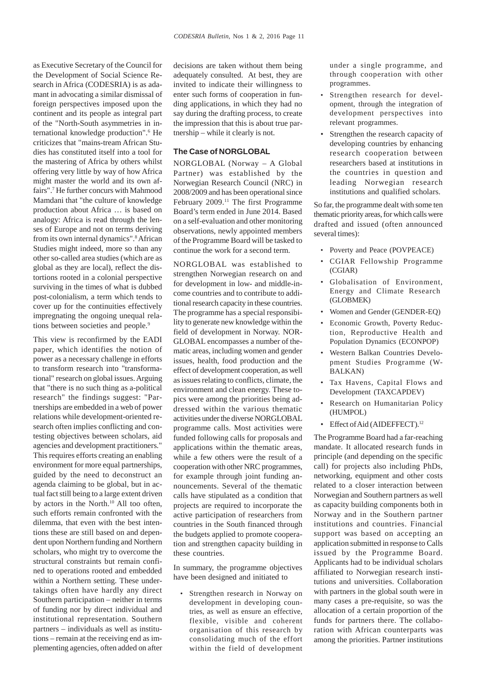as Executive Secretary of the Council for the Development of Social Science Research in Africa (CODESRIA) is as adamant in advocating a similar dismissal of foreign perspectives imposed upon the continent and its people as integral part of the "North-South asymmetries in international knowledge production".<sup>6</sup> He criticizes that "mains-tream African Studies has constituted itself into a tool for the mastering of Africa by others whilst offering very little by way of how Africa might master the world and its own affairs".7 He further concurs with Mahmood Mamdani that "the culture of knowledge production about Africa … is based on analogy: Africa is read through the lenses of Europe and not on terms deriving from its own internal dynamics".<sup>8</sup> African Studies might indeed, more so than any other so-called area studies (which are as global as they are local), reflect the distortions rooted in a colonial perspective surviving in the times of what is dubbed post-colonialism, a term which tends to cover up for the continuities effectively impregnating the ongoing unequal relations between societies and people.<sup>9</sup>

This view is reconfirmed by the EADI paper, which identifies the notion of power as a necessary challenge in efforts to transform research into "transformational" research on global issues. Arguing that "there is no such thing as a-political research" the findings suggest: "Partnerships are embedded in a web of power relations while development-oriented research often implies conflicting and contesting objectives between scholars, aid agencies and development practitioners." This requires efforts creating an enabling environment for more equal partnerships, guided by the need to deconstruct an agenda claiming to be global, but in actual fact still being to a large extent driven by actors in the North.<sup>10</sup> All too often, such efforts remain confronted with the dilemma, that even with the best intentions these are still based on and dependent upon Northern funding and Northern scholars, who might try to overcome the structural constraints but remain confined to operations rooted and embedded within a Northern setting. These undertakings often have hardly any direct Southern participation – neither in terms of funding nor by direct individual and institutional representation. Southern partners – individuals as well as institutions – remain at the receiving end as implementing agencies, often added on after

decisions are taken without them being adequately consulted. At best, they are invited to indicate their willingness to enter such forms of cooperation in funding applications, in which they had no say during the drafting process, to create the impression that this is about true partnership – while it clearly is not.

#### **The Case of NORGLOBAL**

NORGLOBAL (Norway – A Global Partner) was established by the Norwegian Research Council (NRC) in 2008/2009 and has been operational since February 2009.<sup>11</sup> The first Programme Board's term ended in June 2014. Based on a self-evaluation and other monitoring observations, newly appointed members of the Programme Board will be tasked to continue the work for a second term.

NORGLOBAL was established to strengthen Norwegian research on and for development in low- and middle-income countries and to contribute to additional research capacity in these countries. The programme has a special responsibility to generate new knowledge within the field of development in Norway. NOR-GLOBAL encompasses a number of thematic areas, including women and gender issues, health, food production and the effect of development cooperation, as well as issues relating to conflicts, climate, the environment and clean energy. These topics were among the priorities being addressed within the various thematic activities under the diverse NORGLOBAL programme calls. Most activities were funded following calls for proposals and applications within the thematic areas, while a few others were the result of a cooperation with other NRC programmes, for example through joint funding announcements. Several of the thematic calls have stipulated as a condition that projects are required to incorporate the active participation of researchers from countries in the South financed through the budgets applied to promote cooperation and strengthen capacity building in these countries.

In summary, the programme objectives have been designed and initiated to

Strengthen research in Norway on development in developing countries, as well as ensure an effective, flexible, visible and coherent organisation of this research by consolidating much of the effort within the field of development

under a single programme, and through cooperation with other programmes.

- Strengthen research for development, through the integration of development perspectives into relevant programmes.
- Strengthen the research capacity of developing countries by enhancing research cooperation between researchers based at institutions in the countries in question and leading Norwegian research institutions and qualified scholars.

So far, the programme dealt with some ten thematic priority areas, for which calls were drafted and issued (often announced several times):

- Poverty and Peace (POVPEACE)
- CGIAR Fellowship Programme (CGIAR)
- Globalisation of Environment, Energy and Climate Research (GLOBMEK)
- Women and Gender (GENDER-EQ)
- Economic Growth, Poverty Reduction, Reproductive Health and Population Dynamics (ECONPOP)
- Western Balkan Countries Development Studies Programme (W-BALKAN)
- Tax Havens, Capital Flows and Development (TAXCAPDEV)
- Research on Humanitarian Policy (HUMPOL)
- Effect of Aid (AIDEFFECT).<sup>12</sup>

The Programme Board had a far-reaching mandate. It allocated research funds in principle (and depending on the specific call) for projects also including PhDs, networking, equipment and other costs related to a closer interaction between Norwegian and Southern partners as well as capacity building components both in Norway and in the Southern partner institutions and countries. Financial support was based on accepting an application submitted in response to Calls issued by the Programme Board. Applicants had to be individual scholars affiliated to Norwegian research institutions and universities. Collaboration with partners in the global south were in many cases a pre-requisite, so was the allocation of a certain proportion of the funds for partners there. The collaboration with African counterparts was among the priorities. Partner institutions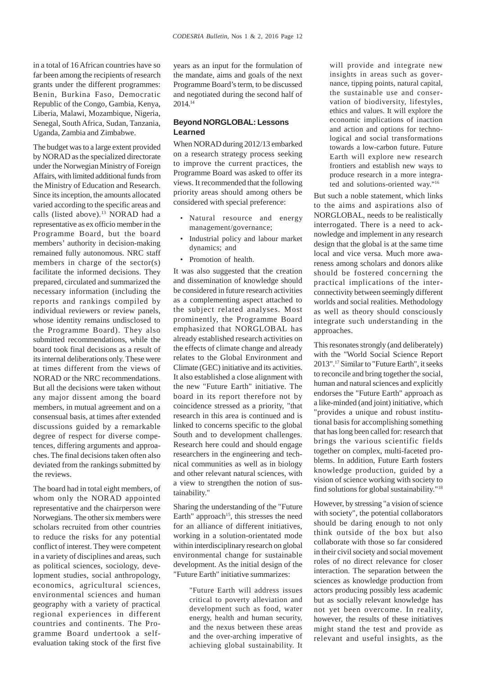in a total of 16 African countries have so far been among the recipients of research grants under the different programmes: Benin, Burkina Faso, Democratic Republic of the Congo, Gambia, Kenya, Liberia, Malawi, Mozambique, Nigeria, Senegal, South Africa, Sudan, Tanzania, Uganda, Zambia and Zimbabwe.

The budget was to a large extent provided by NORAD as the specialized directorate under the Norwegian Ministry of Foreign Affairs, with limited additional funds from the Ministry of Education and Research. Since its inception, the amounts allocated varied according to the specific areas and calls (listed above).<sup>13</sup> NORAD had a representative as ex officio member in the Programme Board, but the board members' authority in decision-making remained fully autonomous. NRC staff members in charge of the sector(s) facilitate the informed decisions. They prepared, circulated and summarized the necessary information (including the reports and rankings compiled by individual reviewers or review panels, whose identity remains undisclosed to the Programme Board). They also submitted recommendations, while the board took final decisions as a result of its internal deliberations only. These were at times different from the views of NORAD or the NRC recommendations. But all the decisions were taken without any major dissent among the board members, in mutual agreement and on a consensual basis, at times after extended discussions guided by a remarkable degree of respect for diverse competences, differing arguments and approaches. The final decisions taken often also deviated from the rankings submitted by the reviews.

The board had in total eight members, of whom only the NORAD appointed representative and the chairperson were Norwegians. The other six members were scholars recruited from other countries to reduce the risks for any potential conflict of interest. They were competent in a variety of disciplines and areas, such as political sciences, sociology, development studies, social anthropology, economics, agricultural sciences, environmental sciences and human geography with a variety of practical regional experiences in different countries and continents. The Programme Board undertook a selfevaluation taking stock of the first five years as an input for the formulation of the mandate, aims and goals of the next Programme Board's term, to be discussed and negotiated during the second half of 2014.14

## **Beyond NORGLOBAL: Lessons Learned**

When NORAD during 2012/13 embarked on a research strategy process seeking to improve the current practices, the Programme Board was asked to offer its views. It recommended that the following priority areas should among others be considered with special preference:

- Natural resource and energy management/governance;
- Industrial policy and labour market dynamics; and
- Promotion of health.

It was also suggested that the creation and dissemination of knowledge should be considered in future research activities as a complementing aspect attached to the subject related analyses. Most prominently, the Programme Board emphasized that NORGLOBAL has already established research activities on the effects of climate change and already relates to the Global Environment and Climate (GEC) initiative and its activities. It also established a close alignment with the new "Future Earth" initiative. The board in its report therefore not by coincidence stressed as a priority, "that research in this area is continued and is linked to concerns specific to the global South and to development challenges. Research here could and should engage researchers in the engineering and technical communities as well as in biology and other relevant natural sciences, with a view to strengthen the notion of sustainability."

Sharing the understanding of the "Future Earth" approach<sup>15</sup>, this stresses the need for an alliance of different initiatives, working in a solution-orientated mode within interdisciplinary research on global environmental change for sustainable development. As the initial design of the "Future Earth" initiative summarizes:

> "Future Earth will address issues critical to poverty alleviation and development such as food, water energy, health and human security, and the nexus between these areas and the over-arching imperative of achieving global sustainability. It

will provide and integrate new insights in areas such as governance, tipping points, natural capital, the sustainable use and conservation of biodiversity, lifestyles, ethics and values. It will explore the economic implications of inaction and action and options for technological and social transformations towards a low-carbon future. Future Earth will explore new research frontiers and establish new ways to produce research in a more integrated and solutions-oriented way."16

But such a noble statement, which links to the aims and aspirations also of NORGLOBAL, needs to be realistically interrogated. There is a need to acknowledge and implement in any research design that the global is at the same time local and vice versa. Much more awareness among scholars and donors alike should be fostered concerning the practical implications of the interconnectivity between seemingly different worlds and social realities. Methodology as well as theory should consciously integrate such understanding in the approaches.

This resonates strongly (and deliberately) with the "World Social Science Report 2013".17 Similar to "Future Earth", it seeks to reconcile and bring together the social, human and natural sciences and explicitly endorses the "Future Earth" approach as a like-minded (and joint) initiative, which "provides a unique and robust institutional basis for accomplishing something that has long been called for: research that brings the various scientific fields together on complex, multi-faceted problems. In addition, Future Earth fosters knowledge production, guided by a vision of science working with society to find solutions for global sustainability."18

However, by stressing "a vision of science with society", the potential collaborators should be daring enough to not only think outside of the box but also collaborate with those so far considered in their civil society and social movement roles of no direct relevance for closer interaction. The separation between the sciences as knowledge production from actors producing possibly less academic but as socially relevant knowledge has not yet been overcome. In reality, however, the results of these initiatives might stand the test and provide as relevant and useful insights, as the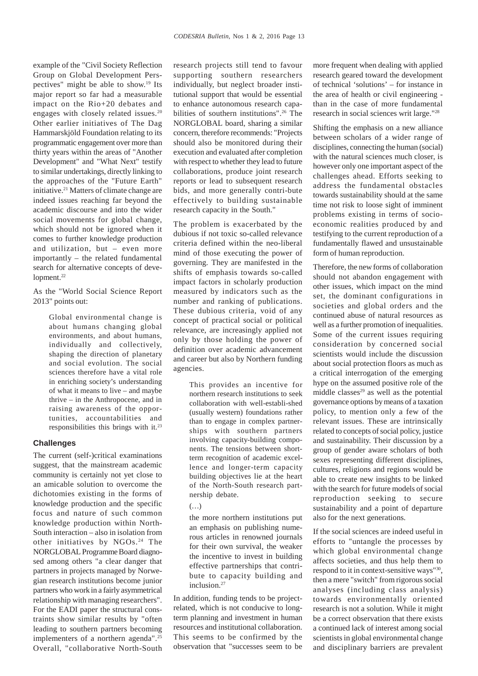example of the "Civil Society Reflection Group on Global Development Perspectives" might be able to show.19 Its major report so far had a measurable impact on the Rio+20 debates and engages with closely related issues.<sup>20</sup> Other earlier initiatives of The Dag Hammarskjöld Foundation relating to its programmatic engagement over more than thirty years within the areas of "Another Development" and "What Next" testify to similar undertakings, directly linking to the approaches of the "Future Earth" initiative.21 Matters of climate change are indeed issues reaching far beyond the academic discourse and into the wider social movements for global change, which should not be ignored when it comes to further knowledge production and utilization, but – even more importantly – the related fundamental search for alternative concepts of development.<sup>22</sup>

As the "World Social Science Report 2013" points out:

> Global environmental change is about humans changing global environments, and about humans, individually and collectively, shaping the direction of planetary and social evolution. The social sciences therefore have a vital role in enriching society's understanding of what it means to live – and maybe thrive – in the Anthropocene, and in raising awareness of the opportunities, accountabilities and responsibilities this brings with it.23

### **Challenges**

The current (self-)critical examinations suggest, that the mainstream academic community is certainly not yet close to an amicable solution to overcome the dichotomies existing in the forms of knowledge production and the specific focus and nature of such common knowledge production within North-South interaction – also in isolation from other initiatives by NGOs.<sup>24</sup> The NORGLOBAL Programme Board diagnosed among others "a clear danger that partners in projects managed by Norwegian research institutions become junior partners who work in a fairly asymmetrical relationship with managing researchers". For the EADI paper the structural constraints show similar results by "often leading to southern partners becoming implementers of a northern agenda".25 Overall, "collaborative North-South

research projects still tend to favour supporting southern researchers individually, but neglect broader institutional support that would be essential to enhance autonomous research capabilities of southern institutions".<sup>26</sup> The NORGLOBAL board, sharing a similar concern, therefore recommends: "Projects should also be monitored during their execution and evaluated after completion with respect to whether they lead to future collaborations, produce joint research reports or lead to subsequent research bids, and more generally contri-bute effectively to building sustainable research capacity in the South."

The problem is exacerbated by the dubious if not toxic so-called relevance criteria defined within the neo-liberal mind of those executing the power of governing. They are manifested in the shifts of emphasis towards so-called impact factors in scholarly production measured by indicators such as the number and ranking of publications. These dubious criteria, void of any concept of practical social or political relevance, are increasingly applied not only by those holding the power of definition over academic advancement and career but also by Northern funding agencies.

> This provides an incentive for northern research institutions to seek collaboration with well-establi-shed (usually western) foundations rather than to engage in complex partnerships with southern partners involving capacity-building components. The tensions between shortterm recognition of academic excellence and longer-term capacity building objectives lie at the heart of the North-South research partnership debate.

#### (…)

the more northern institutions put an emphasis on publishing numerous articles in renowned journals for their own survival, the weaker the incentive to invest in building effective partnerships that contribute to capacity building and inclusion.<sup>27</sup>

In addition, funding tends to be projectrelated, which is not conducive to longterm planning and investment in human resources and institutional collaboration. This seems to be confirmed by the observation that "successes seem to be

more frequent when dealing with applied research geared toward the development of technical 'solutions' – for instance in the area of health or civil engineering than in the case of more fundamental research in social sciences writ large."28

Shifting the emphasis on a new alliance between scholars of a wider range of disciplines, connecting the human (social) with the natural sciences much closer, is however only one important aspect of the challenges ahead. Efforts seeking to address the fundamental obstacles towards sustainability should at the same time not risk to loose sight of imminent problems existing in terms of socioeconomic realities produced by and testifying to the current reproduction of a fundamentally flawed and unsustainable form of human reproduction.

Therefore, the new forms of collaboration should not abandon engagement with other issues, which impact on the mind set, the dominant configurations in societies and global orders and the continued abuse of natural resources as well as a further promotion of inequalities. Some of the current issues requiring consideration by concerned social scientists would include the discussion about social protection floors as much as a critical interrogation of the emerging hype on the assumed positive role of the middle classes $29$  as well as the potential governance options by means of a taxation policy, to mention only a few of the relevant issues. These are intrinsically related to concepts of social policy, justice and sustainability. Their discussion by a group of gender aware scholars of both sexes representing different disciplines, cultures, religions and regions would be able to create new insights to be linked with the search for future models of social reproduction seeking to secure sustainability and a point of departure also for the next generations.

If the social sciences are indeed useful in efforts to "untangle the processes by which global environmental change affects societies, and thus help them to respond to it in context-sensitive ways"30, then a mere "switch" from rigorous social analyses (including class analysis) towards environmentally oriented research is not a solution. While it might be a correct observation that there exists a continued lack of interest among social scientists in global environmental change and disciplinary barriers are prevalent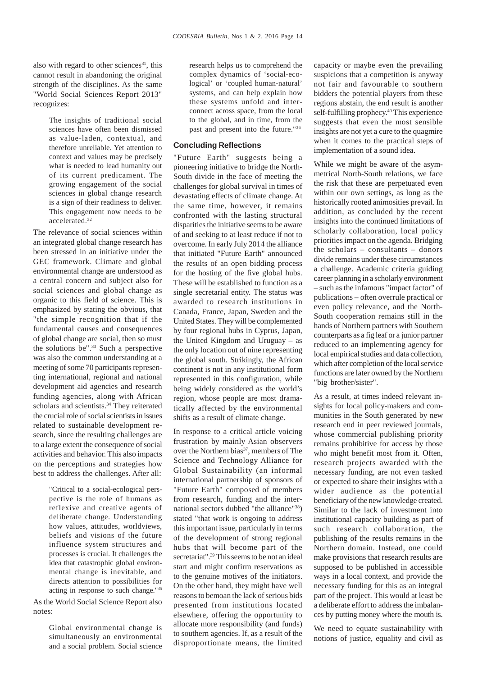also with regard to other sciences $31$ , this cannot result in abandoning the original strength of the disciplines. As the same "World Social Sciences Report 2013" recognizes:

> The insights of traditional social sciences have often been dismissed as value-laden, contextual, and therefore unreliable. Yet attention to context and values may be precisely what is needed to lead humanity out of its current predicament. The growing engagement of the social sciences in global change research is a sign of their readiness to deliver. This engagement now needs to be accelerated.32

The relevance of social sciences within an integrated global change research has been stressed in an initiative under the GEC framework. Climate and global environmental change are understood as a central concern and subject also for social sciences and global change as organic to this field of science. This is emphasized by stating the obvious, that "the simple recognition that if the fundamental causes and consequences of global change are social, then so must the solutions be".33 Such a perspective was also the common understanding at a meeting of some 70 participants representing international, regional and national development aid agencies and research funding agencies, along with African scholars and scientists.<sup>34</sup> They reiterated the crucial role of social scientists in issues related to sustainable development research, since the resulting challenges are to a large extent the consequence of social activities and behavior. This also impacts on the perceptions and strategies how best to address the challenges. After all:

> "Critical to a social-ecological perspective is the role of humans as reflexive and creative agents of deliberate change. Understanding how values, attitudes, worldviews, beliefs and visions of the future influence system structures and processes is crucial. It challenges the idea that catastrophic global environmental change is inevitable, and directs attention to possibilities for acting in response to such change."35

As the World Social Science Report also notes:

> Global environmental change is simultaneously an environmental and a social problem. Social science

research helps us to comprehend the complex dynamics of 'social-ecological' or 'coupled human-natural' systems, and can help explain how these systems unfold and interconnect across space, from the local to the global, and in time, from the past and present into the future."36

## **Concluding Reflections**

"Future Earth" suggests being a pioneering initiative to bridge the North-South divide in the face of meeting the challenges for global survival in times of devastating effects of climate change. At the same time, however, it remains confronted with the lasting structural disparities the initiative seems to be aware of and seeking to at least reduce if not to overcome. In early July 2014 the alliance that initiated "Future Earth" announced the results of an open bidding process for the hosting of the five global hubs. These will be established to function as a single secretarial entity. The status was awarded to research institutions in Canada, France, Japan, Sweden and the United States. They will be complemented by four regional hubs in Cyprus, Japan, the United Kingdom and Uruguay – as the only location out of nine representing the global south. Strikingly, the African continent is not in any institutional form represented in this configuration, while being widely considered as the world's region, whose people are most dramatically affected by the environmental shifts as a result of climate change.

In response to a critical article voicing frustration by mainly Asian observers over the Northern bias<sup>37</sup>, members of The Science and Technology Alliance for Global Sustainability (an informal international partnership of sponsors of "Future Earth" composed of members from research, funding and the international sectors dubbed "the alliance"38) stated "that work is ongoing to address this important issue, particularly in terms of the development of strong regional hubs that will become part of the secretariat".<sup>39</sup> This seems to be not an ideal start and might confirm reservations as to the genuine motives of the initiators. On the other hand, they might have well reasons to bemoan the lack of serious bids presented from institutions located elsewhere, offering the opportunity to allocate more responsibility (and funds) to southern agencies. If, as a result of the disproportionate means, the limited

capacity or maybe even the prevailing suspicions that a competition is anyway not fair and favourable to southern bidders the potential players from these regions abstain, the end result is another self-fulfilling prophecy.<sup>40</sup> This experience suggests that even the most sensible insights are not yet a cure to the quagmire when it comes to the practical steps of implementation of a sound idea.

While we might be aware of the asymmetrical North-South relations, we face the risk that these are perpetuated even within our own settings, as long as the historically rooted animosities prevail. In addition, as concluded by the recent insights into the continued limitations of scholarly collaboration, local policy priorities impact on the agenda. Bridging the scholars – consultants – donors divide remains under these circumstances a challenge. Academic criteria guiding career planning in a scholarly environment – such as the infamous "impact factor" of publications – often overrule practical or even policy relevance, and the North-South cooperation remains still in the hands of Northern partners with Southern counterparts as a fig leaf or a junior partner reduced to an implementing agency for local empirical studies and data collection, which after completion of the local service functions are later owned by the Northern "big brother/sister".

As a result, at times indeed relevant insights for local policy-makers and communities in the South generated by new research end in peer reviewed journals, whose commercial publishing priority remains prohibitive for access by those who might benefit most from it. Often, research projects awarded with the necessary funding, are not even tasked or expected to share their insights with a wider audience as the potential beneficiary of the new knowledge created. Similar to the lack of investment into institutional capacity building as part of such research collaboration, the publishing of the results remains in the Northern domain. Instead, one could make provisions that research results are supposed to be published in accessible ways in a local context, and provide the necessary funding for this as an integral part of the project. This would at least be a deliberate effort to address the imbalances by putting money where the mouth is.

We need to equate sustainability with notions of justice, equality and civil as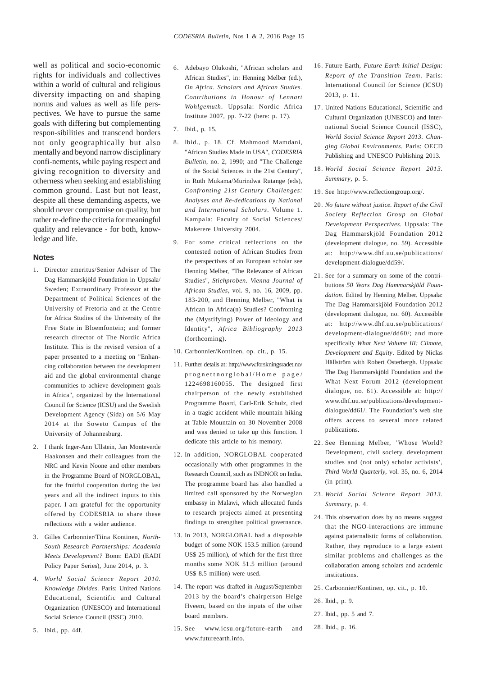well as political and socio-economic rights for individuals and collectives within a world of cultural and religious diversity impacting on and shaping norms and values as well as life perspectives. We have to pursue the same goals with differing but complementing respon-sibilities and transcend borders not only geographically but also mentally and beyond narrow disciplinary confi-nements, while paying respect and giving recognition to diversity and otherness when seeking and establishing common ground. Last but not least, despite all these demanding aspects, we should never compromise on quality, but rather re-define the criteria for meaningful quality and relevance - for both, knowledge and life.

#### **Notes**

- 1. Director emeritus/Senior Adviser of The Dag Hammarskjöld Foundation in Uppsala/ Sweden; Extraordinary Professor at the Department of Political Sciences of the University of Pretoria and at the Centre for Africa Studies of the University of the Free State in Bloemfontein; and former research director of The Nordic Africa Institute. This is the revised version of a paper presented to a meeting on "Enhancing collaboration between the development aid and the global environmental change communities to achieve development goals in Africa", organized by the International Council for Science (ICSU) and the Swedish Development Agency (Sida) on 5/6 May 2014 at the Soweto Campus of the University of Johannesburg.
- 2. I thank Inger-Ann Ullstein, Jan Monteverde Haakonsen and their colleagues from the NRC and Kevin Noone and other members in the Programme Board of NORGLOBAL, for the fruitful cooperation during the last years and all the indirect inputs to this paper. I am grateful for the opportunity offered by CODESRIA to share these reflections with a wider audience.
- 3. Gilles Carbonnier/Tiina Kontinen, *North-South Research Partnerships: Academia Meets Development?* Bonn: EADI (EADI Policy Paper Series), June 2014, p. 3.
- 4. *World Social Science Report 2010. Knowledge Divides*. Paris: United Nations Educational, Scientific and Cultural Organization (UNESCO) and International Social Science Council (ISSC) 2010.
- 5. Ibid., pp. 44f.
- 6. Adebayo Olukoshi, "African scholars and African Studies", in: Henning Melber (ed.), *On Africa. Scholars and African Studies. Contributions in Honour of Lennart Wohlgemuth*. Uppsala: Nordic Africa Institute 2007, pp. 7-22 (here: p. 17).
- 7. Ibid., p. 15.
- 8. Ibid., p. 18. Cf. Mahmood Mamdani, "African Studies Made in USA", *CODESRIA Bulletin*, no. 2, 1990; and "The Challenge of the Social Sciences in the 21st Century", in Ruth Mukama/Murindwa Rutange (eds), *Confronting 21st Century Challenges: Analyses and Re-dedications by National and International Scholars*. Volume 1. Kampala: Faculty of Social Sciences/ Makerere University 2004.
- 9. For some critical reflections on the contested notion of African Studies from the perspectives of an European scholar see Henning Melber, "The Relevance of African Studies", *Stichproben. Vienna Journal of African Studies*, vol. 9, no. 16, 2009, pp. 183-200, and Henning Melber, "What is African in Africa(n) Studies? Confronting the (Mystifying) Power of Ideology and Identity", *Africa Bibliography 2013* (forthcoming).
- 10. Carbonnier/Kontinen, op. cit., p. 15.
- 11. Further details at: http://www.forskningsradet.no/ prognettnorglobal/Home\_page/ 1224698160055. The designed first chairperson of the newly established Programme Board, Carl-Erik Schulz, died in a tragic accident while mountain hiking at Table Mountain on 30 November 2008 and was denied to take up this function. I dedicate this article to his memory.
- 12. In addition, NORGLOBAL cooperated occasionally with other programmes in the Research Council, such as INDNOR on India. The programme board has also handled a limited call sponsored by the Norwegian embassy in Malawi, which allocated funds to research projects aimed at presenting findings to strengthen political governance.
- 13. In 2013, NORGLOBAL had a disposable budget of some NOK 153.5 million (around US\$ 25 million), of which for the first three months some NOK 51.5 million (around US\$ 8.5 million) were used.
- 14. The report was drafted in August/September 2013 by the board's chairperson Helge Hveem, based on the inputs of the other board members.
- 15. See www.icsu.org/future-earth and www.futureearth.info.
- 16. Future Earth, *Future Earth Initial Design: Report of the Transition Team*. Paris: International Council for Science (ICSU) 2013, p. 11.
- 17. United Nations Educational, Scientific and Cultural Organization (UNESCO) and International Social Science Council (ISSC), *World Social Science Report 2013. Changing Global Environments.* Paris: OECD Publishing and UNESCO Publishing 2013.
- 18. *World Social Science Report 2013. Summary*, p. 5.
- 19. See http://www.reflectiongroup.org/.
- 20. *No future without justice. Report of the Civil Society Reflection Group on Global Development Perspectives.* Uppsala: The Dag Hammarskjöld Foundation 2012 (development dialogue, no. 59). Accessible at: http://www.dhf.uu.se/publications/ development-dialogue/dd59/.
- 21. See for a summary on some of the contributions *50 Years Dag Hammarskjöld Foundation*. Edited by Henning Melber. Uppsala: The Dag Hammarskjöld Foundation 2012 (development dialogue, no. 60). Accessible at: http://www.dhf.uu.se/publications/ development-dialogue/dd60/; and more specifically *What Next Volume III: Climate, Development and Equity*. Edited by Niclas Hällström with Robert Österbergh. Uppsala: The Dag Hammarskjöld Foundation and the What Next Forum 2012 (development dialogue, no. 61). Accessible at: http:// www.dhf.uu.se/publications/developmentdialogue/dd61/. The Foundation's web site offers access to several more related publications.
- 22. See Henning Melber, 'Whose World? Development, civil society, development studies and (not only) scholar activists', *Third World Quarterly*, vol. 35, no. 6, 2014 (in print).
- 23. *World Social Science Report 2013. Summary*, p. 4.
- 24. This observation does by no means suggest that the NGO-interactions are immune against paternalistic forms of collaboration. Rather, they reproduce to a large extent similar problems and challenges as the collaboration among scholars and academic institutions.
- 25. Carbonnier/Kontinen, op. cit., p. 10.

26. Ibid., p. 9.

- 27. Ibid., pp. 5 and 7.
- 28. Ibid., p. 16.